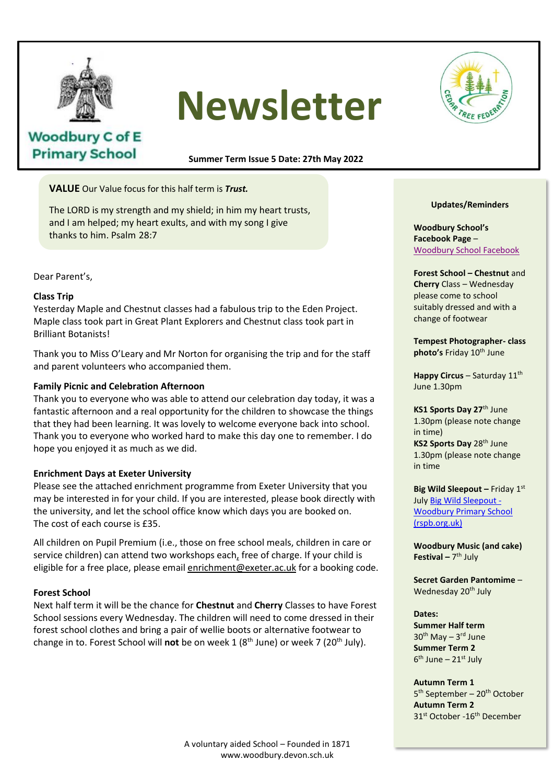

# **Newsletter**



# **Woodbury C of E Primary School**

**Summer Term Issue 5 Date: 27th May 2022**

**VALUE** Our Value focus for this half term is *Trust.*

The LORD is my strength and my shield; in him my heart trusts, and I am helped; my heart exults, and with my song I give thanks to him. Psalm 28:7

Dear Parent's,

# **Class Trip**

Yesterday Maple and Chestnut classes had a fabulous trip to the Eden Project. Maple class took part in Great Plant Explorers and Chestnut class took part in<br>Brilliant Botanists! Brilliant Botanists!

Thank you to Miss O'Leary and Mr Norton for organising the trip and for the staff and parent volunteers who accompanied them.

# **Family Picnic and Celebration Afternoon**

Thank you to everyone who was able to attend our celebration day today, it was a fantastic afternoon and a real opportunity for the children to showcase the things that they had been learning. It was lovely to welcome everyone back into school. Thank you to everyone who worked hard to make this day one to remember. I do hope you enjoyed it as much as we did.

# **Enrichment Days at Exeter University**

Please see the attached enrichment programme from Exeter University that you may be interested in for your child. If you are interested, please book directly with the university, and let the school office know which days you are booked on. The cost of each course is £35.

All children on Pupil Premium (i.e., those on free school meals, children in care or service children) can attend two workshops each, free of charge. If your child is eligible for a free place, please email enrichment@exeter.ac.uk for a booking code.

# **Forest School**

Next half term it will be the chance for **Chestnut** and **Cherry** Classes to have Forest School sessions every Wednesday. The children will need to come dressed in their forest school clothes and bring a pair of wellie boots or alternative footwear to change in to. Forest School will **not** be on week 1 (8<sup>th</sup> June) or week 7 (20<sup>th</sup> July).

# **Updates/Reminders**

**Woodbury School's Facebook Page** – Woodbury School Facebook

**Forest School – Chestnut** and **Cherry** Class – Wednesday please come to school suitably dressed and with a change of footwear

**Tempest Photographer- class photo's Friday 10<sup>th</sup> June** 

**Happy Circus – Saturday 11th** June 1.30pm

**KS1 Sports Day 27**th June 1.30pm (please note change in time)

**KS2 Sports Day 28th June** 1.30pm (please note change in time

**Big Wild Sleepout – Friday 1st** July Big Wild Sleepout - Woodbury Primary School (rspb.org.uk)

**Woodbury Music (and cake) Festival –** 7 th July

**Secret Garden Pantomime** – Wednesday 20<sup>th</sup> July

### **Dates:**

**Summer Half term** 30<sup>th</sup> May - 3<sup>rd</sup> June **Summer Term 2** 6<sup>th</sup> June – 21st July

**Autumn Term 1** 5<sup>th</sup> September - 20<sup>th</sup> October **Autumn Term 2** 31<sup>st</sup> October -16<sup>th</sup> December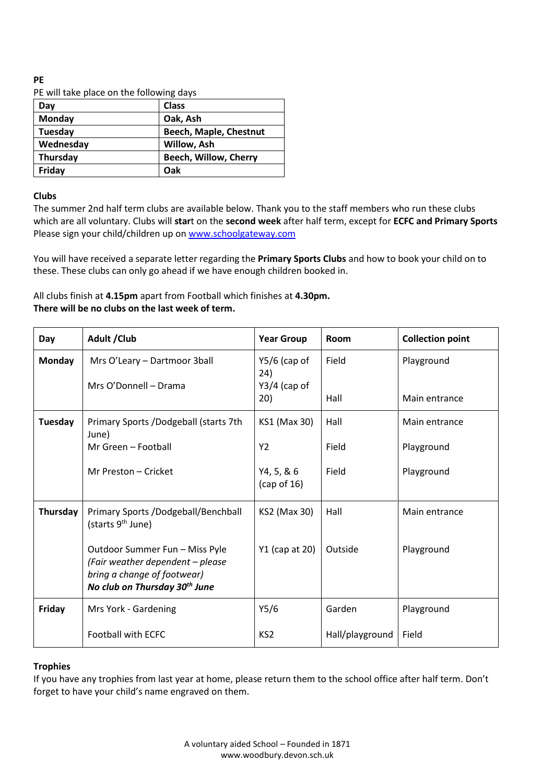#### **PE** PE will take place on the following days

| PE Will take place on the following days |                        |  |  |  |
|------------------------------------------|------------------------|--|--|--|
| Day                                      | <b>Class</b>           |  |  |  |
| <b>Monday</b>                            | Oak, Ash               |  |  |  |
| Tuesday                                  | Beech, Maple, Chestnut |  |  |  |
| Wednesday                                | Willow, Ash            |  |  |  |
| <b>Thursday</b>                          | Beech, Willow, Cherry  |  |  |  |
| Friday                                   | Oak                    |  |  |  |

# **Clubs**

The summer 2nd half term clubs are available below. Thank you to the staff members who run these clubs which are all voluntary. Clubs will **star**t on the **second week** after half term, except for **ECFC and Primary Sports** Please sign your child/children up on [www.schoolgateway.com](http://www.schoolgateway.com/)

You will have received a separate letter regarding the **Primary Sports Clubs** and how to book your child on to these. These clubs can only go ahead if we have enough children booked in.

All clubs finish at **4.15pm** apart from Football which finishes at **4.30pm. There will be no clubs on the last week of term.**

| Day           | Adult / Club                                                                                                                                   | <b>Year Group</b>                       | Room            | <b>Collection point</b> |
|---------------|------------------------------------------------------------------------------------------------------------------------------------------------|-----------------------------------------|-----------------|-------------------------|
| <b>Monday</b> | Mrs O'Leary - Dartmoor 3ball<br>Mrs O'Donnell - Drama                                                                                          | $Y5/6$ (cap of<br>24)<br>$Y3/4$ (cap of | Field           | Playground              |
|               |                                                                                                                                                | 20)                                     | Hall            | Main entrance           |
| Tuesday       | Primary Sports /Dodgeball (starts 7th<br>June)                                                                                                 | KS1 (Max 30)                            | Hall            | Main entrance           |
|               | Mr Green - Football                                                                                                                            | Y <sub>2</sub>                          | Field           | Playground              |
|               | Mr Preston - Cricket                                                                                                                           | Y4, 5, 8, 6<br>(cap of 16)              | Field           | Playground              |
| Thursday      | Primary Sports /Dodgeball/Benchball<br>(starts 9 <sup>th</sup> June)                                                                           | KS2 (Max 30)                            | Hall            | Main entrance           |
|               | Outdoor Summer Fun - Miss Pyle<br>(Fair weather dependent - please<br>bring a change of footwear)<br>No club on Thursday 30 <sup>th</sup> June | Y1 (cap at 20)                          | Outside         | Playground              |
| Friday        | Mrs York - Gardening                                                                                                                           | Y5/6                                    | Garden          | Playground              |
|               | <b>Football with ECFC</b>                                                                                                                      | KS <sub>2</sub>                         | Hall/playground | Field                   |

# **Trophies**

If you have any trophies from last year at home, please return them to the school office after half term. Don't forget to have your child's name engraved on them.